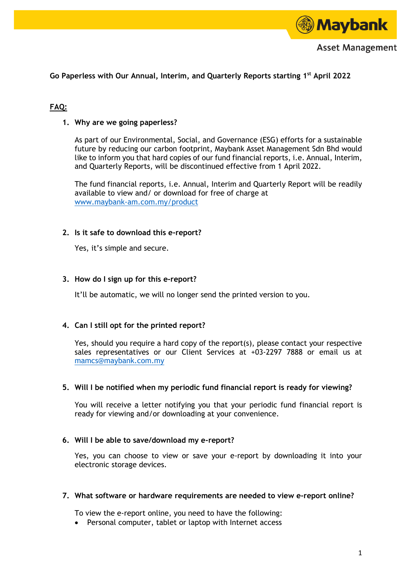

**Go Paperless with Our Annual, Interim, and Quarterly Reports starting 1 st April 2022**

# **FAQ:**

### **1. Why are we going paperless?**

As part of our Environmental, Social, and Governance (ESG) efforts for a sustainable future by reducing our carbon footprint, Maybank Asset Management Sdn Bhd would like to inform you that hard copies of our fund financial reports, i.e. Annual, Interim, and Quarterly Reports, will be discontinued effective from 1 April 2022.

The fund financial reports, i.e. Annual, Interim and Quarterly Report will be readily available to view and/ or download for free of charge at [www.maybank-am.com.my/product](file:///C:/Users/local_00099688/INetCache/Content.Outlook/9W6N4M1H/www.maybank-am.com.my/product)

# **2. Is it safe to download this e-report?**

Yes, it's simple and secure.

### **3. How do I sign up for this e-report?**

It'll be automatic, we will no longer send the printed version to you.

### **4. Can I still opt for the printed report?**

Yes, should you require a hard copy of the report(s), please contact your respective sales representatives or our Client Services at +03-2297 7888 or email us at [mamcs@maybank.com.my](mailto:mamcs@maybank.com.my)

### **5. Will I be notified when my periodic fund financial report is ready for viewing?**

You will receive a letter notifying you that your periodic fund financial report is ready for viewing and/or downloading at your convenience.

### **6. Will I be able to save/download my e-report?**

Yes, you can choose to view or save your e-report by downloading it into your electronic storage devices.

#### **7. What software or hardware requirements are needed to view e-report online?**

To view the e-report online, you need to have the following:

Personal computer, tablet or laptop with Internet access